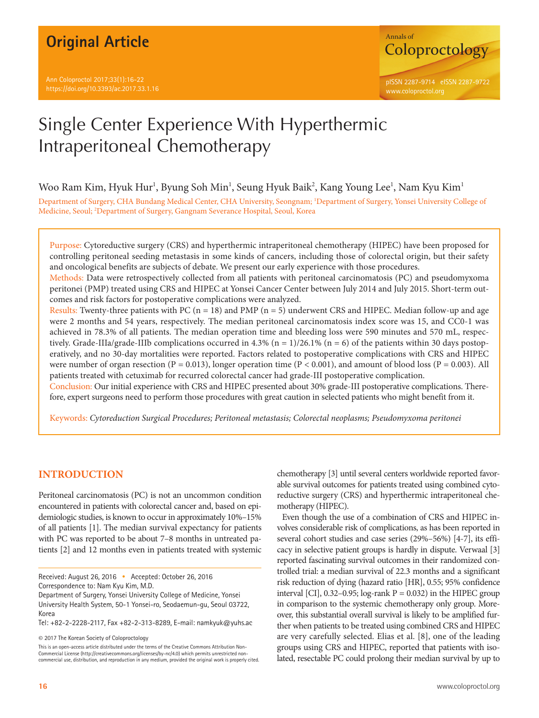

Woo Ram Kim, Hyuk Hur<sup>1</sup>, Byung Soh Min<sup>1</sup>, Seung Hyuk Baik<sup>2</sup>, Kang Young Lee<sup>1</sup>, Nam Kyu Kim<sup>1</sup>

Department of Surgery, CHA Bundang Medical Center, CHA University, Seongnam; 1 Department of Surgery, Yonsei University College of Medicine, Seoul; <sup>2</sup>Department of Surgery, Gangnam Severance Hospital, Seoul, Korea

Purpose: Cytoreductive surgery (CRS) and hyperthermic intraperitoneal chemotherapy (HIPEC) have been proposed for controlling peritoneal seeding metastasis in some kinds of cancers, including those of colorectal origin, but their safety and oncological benefits are subjects of debate. We present our early experience with those procedures.

Methods: Data were retrospectively collected from all patients with peritoneal carcinomatosis (PC) and pseudomyxoma peritonei (PMP) treated using CRS and HIPEC at Yonsei Cancer Center between July 2014 and July 2015. Short-term outcomes and risk factors for postoperative complications were analyzed.

Results: Twenty-three patients with PC ( $n = 18$ ) and PMP ( $n = 5$ ) underwent CRS and HIPEC. Median follow-up and age were 2 months and 54 years, respectively. The median peritoneal carcinomatosis index score was 15, and CC0-1 was achieved in 78.3% of all patients. The median operation time and bleeding loss were 590 minutes and 570 mL, respectively. Grade-IIIa/grade-IIIb complications occurred in 4.3% (n = 1)/26.1% (n = 6) of the patients within 30 days postoperatively, and no 30-day mortalities were reported. Factors related to postoperative complications with CRS and HIPEC were number of organ resection (P = 0.013), longer operation time (P < 0.001), and amount of blood loss (P = 0.003). All patients treated with cetuximab for recurred colorectal cancer had grade-III postoperative complication.

Conclusion: Our initial experience with CRS and HIPEC presented about 30% grade-III postoperative complications. Therefore, expert surgeons need to perform those procedures with great caution in selected patients who might benefit from it.

Keywords: *Cytoreduction Surgical Procedures; Peritoneal metastasis; Colorectal neoplasms; Pseudomyxoma peritonei* 

# **INTRODUCTION**

Peritoneal carcinomatosis (PC) is not an uncommon condition encountered in patients with colorectal cancer and, based on epidemiologic studies, is known to occur in approximately 10%–15% of all patients [1]. The median survival expectancy for patients with PC was reported to be about 7–8 months in untreated patients [2] and 12 months even in patients treated with systemic

Received: August 26, 2016 • Accepted: October 26, 2016 Correspondence to: Nam Kyu Kim, M.D.

Department of Surgery, Yonsei University College of Medicine, Yonsei University Health System, 50-1 Yonsei-ro, Seodaemun-gu, Seoul 03722, Korea

Tel: +82-2-2228-2117, Fax +82-2-313-8289, E-mail: namkyuk@yuhs.ac

© 2017 The Korean Society of Coloproctology

This is an open-access article distributed under the terms of the Creative Commons Attribution Non-Commercial License (http://creativecommons.org/licenses/by-nc/4.0) which permits unrestricted noncommercial use, distribution, and reproduction in any medium, provided the original work is properly cited. chemotherapy [3] until several centers worldwide reported favorable survival outcomes for patients treated using combined cytoreductive surgery (CRS) and hyperthermic intraperitoneal chemotherapy (HIPEC).

Even though the use of a combination of CRS and HIPEC involves considerable risk of complications, as has been reported in several cohort studies and case series (29%–56%) [4-7], its efficacy in selective patient groups is hardly in dispute. Verwaal [3] reported fascinating survival outcomes in their randomized controlled trial: a median survival of 22.3 months and a significant risk reduction of dying (hazard ratio [HR], 0.55; 95% confidence interval [CI],  $0.32-0.95$ ; log-rank P = 0.032) in the HIPEC group in comparison to the systemic chemotherapy only group. Moreover, this substantial overall survival is likely to be amplified further when patients to be treated using combined CRS and HIPEC are very carefully selected. Elias et al. [8], one of the leading groups using CRS and HIPEC, reported that patients with isolated, resectable PC could prolong their median survival by up to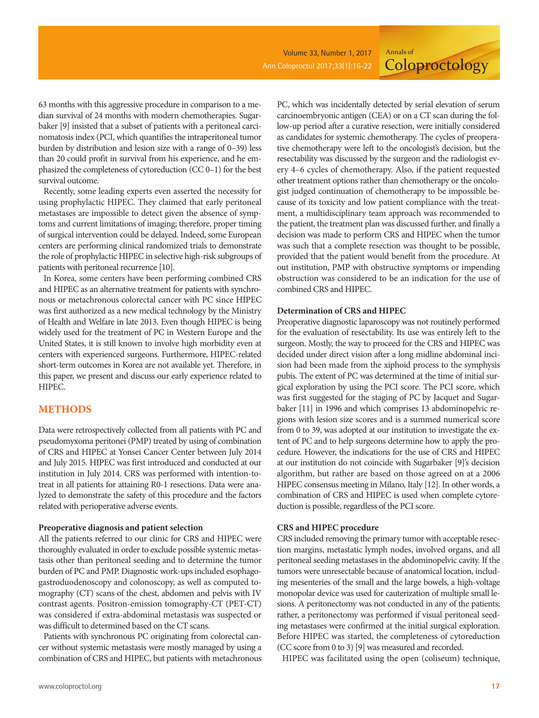**Coloproctology** 

63 months with this aggressive procedure in comparison to a median survival of 24 months with modern chemotherapies. Sugarbaker [9] insisted that a subset of patients with a peritoneal carcinomatosis index (PCI, which quantifies the intraperitoneal tumor burden by distribution and lesion size with a range of 0–39) less than 20 could profit in survival from his experience, and he emphasized the completeness of cytoreduction (CC 0–1) for the best survival outcome.

Recently, some leading experts even asserted the necessity for using prophylactic HIPEC. They claimed that early peritoneal metastases are impossible to detect given the absence of symptoms and current limitations of imaging; therefore, proper timing of surgical intervention could be delayed. Indeed, some European centers are performing clinical randomized trials to demonstrate the role of prophylactic HIPEC in selective high-risk subgroups of patients with peritoneal recurrence [10].

In Korea, some centers have been performing combined CRS and HIPEC as an alternative treatment for patients with synchronous or metachronous colorectal cancer with PC since HIPEC was first authorized as a new medical technology by the Ministry of Health and Welfare in late 2013. Even though HIPEC is being widely used for the treatment of PC in Western Europe and the United States, it is still known to involve high morbidity even at centers with experienced surgeons. Furthermore, HIPEC-related short-term outcomes in Korea are not available yet. Therefore, in this paper, we present and discuss our early experience related to HIPEC.

## **METHODS**

Data were retrospectively collected from all patients with PC and pseudomyxoma peritonei (PMP) treated by using of combination of CRS and HIPEC at Yonsei Cancer Center between July 2014 and July 2015. HIPEC was first introduced and conducted at our institution in July 2014. CRS was performed with intention-totreat in all patients for attaining R0-1 resections. Data were analyzed to demonstrate the safety of this procedure and the factors related with perioperative adverse events.

#### **Preoperative diagnosis and patient selection**

All the patients referred to our clinic for CRS and HIPEC were thoroughly evaluated in order to exclude possible systemic metastasis other than peritoneal seeding and to determine the tumor burden of PC and PMP. Diagnostic work-ups included esophagogastroduodenoscopy and colonoscopy, as well as computed tomography (CT) scans of the chest, abdomen and pelvis with IV contrast agents. Positron-emission tomography-CT (PET-CT) was considered if extra-abdominal metastasis was suspected or was difficult to determined based on the CT scans.

Patients with synchronous PC originating from colorectal cancer without systemic metastasis were mostly managed by using a combination of CRS and HIPEC, but patients with metachronous

PC, which was incidentally detected by serial elevation of serum carcinoembryonic antigen (CEA) or on a CT scan during the follow-up period after a curative resection, were initially considered as candidates for systemic chemotherapy. The cycles of preoperative chemotherapy were left to the oncologist's decision, but the resectability was discussed by the surgeon and the radiologist every 4–6 cycles of chemotherapy. Also, if the patient requested other treatment options rather than chemotherapy or the oncologist judged continuation of chemotherapy to be impossible because of its toxicity and low patient compliance with the treatment, a multidisciplinary team approach was recommended to the patient, the treatment plan was discussed further, and finally a decision was made to perform CRS and HIPEC when the tumor was such that a complete resection was thought to be possible, provided that the patient would benefit from the procedure. At out institution, PMP with obstructive symptoms or impending obstruction was considered to be an indication for the use of combined CRS and HIPEC.

Annals of

#### **Determination of CRS and HIPEC**

Preoperative diagnostic laparoscopy was not routinely performed for the evaluation of resectability. Its use was entirely left to the surgeon. Mostly, the way to proceed for the CRS and HIPEC was decided under direct vision after a long midline abdominal incision had been made from the xiphoid process to the symphysis pubis. The extent of PC was determined at the time of initial surgical exploration by using the PCI score. The PCI score, which was first suggested for the staging of PC by Jacquet and Sugarbaker [11] in 1996 and which comprises 13 abdominopelvic regions with lesion size scores and is a summed numerical score from 0 to 39, was adopted at our institution to investigate the extent of PC and to help surgeons determine how to apply the procedure. However, the indications for the use of CRS and HIPEC at our institution do not coincide with Sugarbaker [9]'s decision algorithm, but rather are based on those agreed on at a 2006 HIPEC consensus meeting in Milano, Italy [12]. In other words, a combination of CRS and HIPEC is used when complete cytoreduction is possible, regardless of the PCI score.

#### **CRS and HIPEC procedure**

CRS included removing the primary tumor with acceptable resection margins, metastatic lymph nodes, involved organs, and all peritoneal seeding metastases in the abdominopelvic cavity. If the tumors were unresectable because of anatomical location, including mesenteries of the small and the large bowels, a high-voltage monopolar device was used for cauterization of multiple small lesions. A peritonectomy was not conducted in any of the patients; rather, a peritonectomy was performed if visual peritoneal seeding metastases were confirmed at the initial surgical exploration. Before HIPEC was started, the completeness of cytoreduction (CC score from 0 to 3) [9] was measured and recorded.

HIPEC was facilitated using the open (coliseum) technique,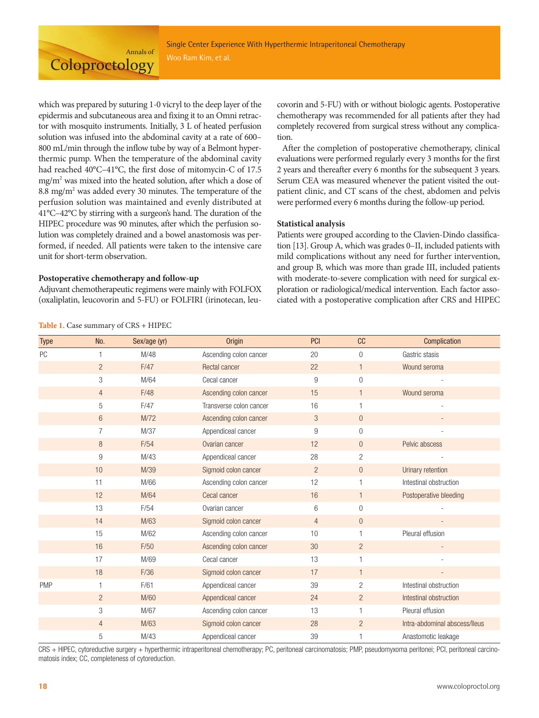Annals of **Coloproctology** 

which was prepared by suturing 1-0 vicryl to the deep layer of the epidermis and subcutaneous area and fixing it to an Omni retractor with mosquito instruments. Initially, 3 L of heated perfusion solution was infused into the abdominal cavity at a rate of 600– 800 mL/min through the inflow tube by way of a Belmont hyperthermic pump. When the temperature of the abdominal cavity had reached 40°C-41°C, the first dose of mitomycin-C of 17.5 mg/m2 was mixed into the heated solution, after which a dose of 8.8 mg/ $m<sup>2</sup>$  was added every 30 minutes. The temperature of the perfusion solution was maintained and evenly distributed at 41°C–42°C by stirring with a surgeon's hand. The duration of the HIPEC procedure was 90 minutes, after which the perfusion solution was completely drained and a bowel anastomosis was performed, if needed. All patients were taken to the intensive care unit for short-term observation.

#### **Postoperative chemotherapy and follow-up**

Adjuvant chemotherapeutic regimens were mainly with FOLFOX (oxaliplatin, leucovorin and 5-FU) or FOLFIRI (irinotecan, leu-

covorin and 5-FU) with or without biologic agents. Postoperative chemotherapy was recommended for all patients after they had completely recovered from surgical stress without any complication.

After the completion of postoperative chemotherapy, clinical evaluations were performed regularly every 3 months for the first 2 years and thereafter every 6 months for the subsequent 3 years. Serum CEA was measured whenever the patient visited the outpatient clinic, and CT scans of the chest, abdomen and pelvis were performed every 6 months during the follow-up period.

#### **Statistical analysis**

Patients were grouped according to the Clavien-Dindo classification [13]. Group A, which was grades 0–II, included patients with mild complications without any need for further intervention, and group B, which was more than grade III, included patients with moderate-to-severe complication with need for surgical exploration or radiological/medical intervention. Each factor associated with a postoperative complication after CRS and HIPEC

| <b>Type</b> | No.            | Sex/age (yr) | <b>Origin</b>           | <b>PCI</b>      | cc               | Complication                  |  |
|-------------|----------------|--------------|-------------------------|-----------------|------------------|-------------------------------|--|
| PC          |                | M/48         | Ascending colon cancer  | 20              | $\overline{0}$   | Gastric stasis                |  |
|             | $\overline{2}$ | F/47         | Rectal cancer           | 22              | $\mathbf{1}$     | Wound seroma                  |  |
|             | 3              | M/64         | Cecal cancer            | 9               | 0                |                               |  |
|             | $\overline{4}$ | F/48         | Ascending colon cancer  | 15              | $\mathbf{1}$     | Wound seroma                  |  |
|             | 5              | F/47         | Transverse colon cancer | 16              | 1                |                               |  |
|             | 6              | M/72         | Ascending colon cancer  | $\sqrt{3}$      | $\boldsymbol{0}$ |                               |  |
|             | $\overline{7}$ | M/37         | Appendiceal cancer      | 9               | $\overline{0}$   |                               |  |
|             | 8              | F/54         | Ovarian cancer          | 12              | $\overline{0}$   | Pelvic abscess                |  |
|             | 9              | M/43         | Appendiceal cancer      | 28              | $\overline{2}$   |                               |  |
|             | 10             | M/39         | Sigmoid colon cancer    | $\overline{2}$  | $\overline{0}$   | Urinary retention             |  |
|             | 11             | M/66         | Ascending colon cancer  | 12              | $\mathbf{1}$     | Intestinal obstruction        |  |
|             | 12             | M/64         | Cecal cancer            | 16              | $\mathbf{1}$     | Postoperative bleeding        |  |
|             | 13             | F/54         | Ovarian cancer          | $6\phantom{1}6$ | $\overline{0}$   |                               |  |
|             | 14             | M/63         | Sigmoid colon cancer    | $\overline{4}$  | $\overline{0}$   |                               |  |
|             | 15             | M/62         | Ascending colon cancer  | 10              | 1                | Pleural effusion              |  |
|             | 16             | F/50         | Ascending colon cancer  | 30              | $\overline{2}$   |                               |  |
|             | 17             | M/69         | Cecal cancer            | 13              | $\mathbf{1}$     |                               |  |
|             | 18             | F/36         | Sigmoid colon cancer    | 17              | $\mathbf{1}$     |                               |  |
| <b>PMP</b>  |                | F/61         | Appendiceal cancer      | 39              | $\mathbf{2}$     | Intestinal obstruction        |  |
|             | $\overline{2}$ | M/60         | Appendiceal cancer      | 24              | $\overline{2}$   | Intestinal obstruction        |  |
|             | 3              | M/67         | Ascending colon cancer  | 13              | 1                | Pleural effusion              |  |
|             | $\overline{4}$ | M/63         | Sigmoid colon cancer    | 28              | $\overline{2}$   | Intra-abdominal abscess/lleus |  |
|             | 5              | M/43         | Appendiceal cancer      | 39              | 1                | Anastomotic leakage           |  |

CRS + HIPEC, cytoreductive surgery + hyperthermic intraperitoneal chemotherapy; PC, peritoneal carcinomatosis; PMP, pseudomyxoma peritonei; PCI, peritoneal carcinomatosis index; CC, completeness of cytoreduction.

#### **Table 1.** Case summary of CRS + HIPEC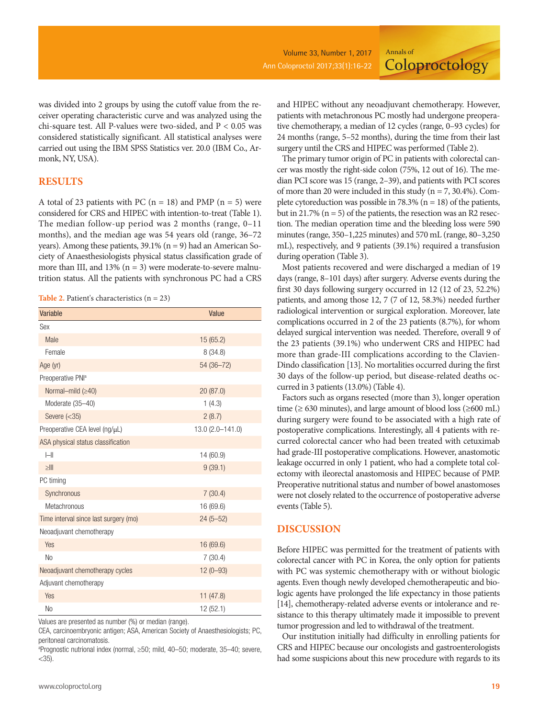**Coloproctology** 

was divided into 2 groups by using the cutoff value from the receiver operating characteristic curve and was analyzed using the chi-square test. All P-values were two-sided, and P < 0.05 was considered statistically significant. All statistical analyses were carried out using the IBM SPSS Statistics ver. 20.0 (IBM Co., Armonk, NY, USA).

## **RESULTS**

A total of 23 patients with PC ( $n = 18$ ) and PMP ( $n = 5$ ) were considered for CRS and HIPEC with intention-to-treat (Table 1). The median follow-up period was 2 months (range, 0–11 months), and the median age was 54 years old (range, 36–72 years). Among these patients,  $39.1\%$  (n = 9) had an American Society of Anaesthesiologists physical status classification grade of more than III, and  $13\%$  (n = 3) were moderate-to-severe malnutrition status. All the patients with synchronous PC had a CRS

**Table 2.** Patient's characteristics (n = 23)

| Variable                              | Value            |
|---------------------------------------|------------------|
| Sex                                   |                  |
| Male                                  | 15(65.2)         |
| Female                                | 8 (34.8)         |
| Age (yr)                              | 54 (36-72)       |
| Preoperative PNI <sup>a</sup>         |                  |
| Normal-mild (≥40)                     | 20(87.0)         |
| Moderate (35-40)                      | 1(4.3)           |
| Severe $(<35)$                        | 2(8.7)           |
| Preoperative CEA level (ng/µL)        | 13.0 (2.0-141.0) |
| ASA physical status classification    |                  |
| $\left  - \right $                    | 14 (60.9)        |
| $>\!\!\!\!\leq$ lll                   | 9(39.1)          |
| PC timing                             |                  |
| Synchronous                           | 7(30.4)          |
| Metachronous                          | 16 (69.6)        |
| Time interval since last surgery (mo) | $24(5 - 52)$     |
| Neoadjuvant chemotherapy              |                  |
| Yes                                   | 16 (69.6)        |
| N <sub>0</sub>                        | 7(30.4)          |
| Neoadjuvant chemotherapy cycles       | $12(0 - 93)$     |
| Adjuvant chemotherapy                 |                  |
| Yes                                   | 11(47.8)         |
| No                                    | 12 (52.1)        |

Values are presented as number (%) or median (range).

CEA, carcinoembryonic antigen; ASA, American Society of Anaesthesiologists; PC, peritoneal carcinomatosis.

a Prognostic nutrional index (normal, ≥50; mild, 40–50; moderate, 35–40; severe,  $<$ 35).

and HIPEC without any neoadjuvant chemotherapy. However, patients with metachronous PC mostly had undergone preoperative chemotherapy, a median of 12 cycles (range, 0–93 cycles) for 24 months (range, 5–52 months), during the time from their last surgery until the CRS and HIPEC was performed (Table 2).

Annals of

The primary tumor origin of PC in patients with colorectal cancer was mostly the right-side colon (75%, 12 out of 16). The median PCI score was 15 (range, 2–39), and patients with PCI scores of more than 20 were included in this study ( $n = 7, 30.4\%$ ). Complete cytoreduction was possible in 78.3% ( $n = 18$ ) of the patients, but in 21.7% ( $n = 5$ ) of the patients, the resection was an R2 resection. The median operation time and the bleeding loss were 590 minutes (range, 350–1,225 minutes) and 570 mL (range, 80–3,250 mL), respectively, and 9 patients (39.1%) required a transfusion during operation (Table 3).

Most patients recovered and were discharged a median of 19 days (range, 8–101 days) after surgery. Adverse events during the first 30 days following surgery occurred in 12 (12 of 23, 52.2%) patients, and among those 12, 7 (7 of 12, 58.3%) needed further radiological intervention or surgical exploration. Moreover, late complications occurred in 2 of the 23 patients (8.7%), for whom delayed surgical intervention was needed. Therefore, overall 9 of the 23 patients (39.1%) who underwent CRS and HIPEC had more than grade-III complications according to the Clavien-Dindo classification [13]. No mortalities occurred during the first 30 days of the follow-up period, but disease-related deaths occurred in 3 patients (13.0%) (Table 4).

Factors such as organs resected (more than 3), longer operation time ( $\geq 630$  minutes), and large amount of blood loss ( $\geq 600$  mL) during surgery were found to be associated with a high rate of postoperative complications. Interestingly, all 4 patients with recurred colorectal cancer who had been treated with cetuximab had grade-III postoperative complications. However, anastomotic leakage occurred in only 1 patient, who had a complete total colectomy with ileorectal anastomosis and HIPEC because of PMP. Preoperative nutritional status and number of bowel anastomoses were not closely related to the occurrence of postoperative adverse events (Table 5).

### **DISCUSSION**

Before HIPEC was permitted for the treatment of patients with colorectal cancer with PC in Korea, the only option for patients with PC was systemic chemotherapy with or without biologic agents. Even though newly developed chemotherapeutic and biologic agents have prolonged the life expectancy in those patients [14], chemotherapy-related adverse events or intolerance and resistance to this therapy ultimately made it impossible to prevent tumor progression and led to withdrawal of the treatment.

Our institution initially had difficulty in enrolling patients for CRS and HIPEC because our oncologists and gastroenterologists had some suspicions about this new procedure with regards to its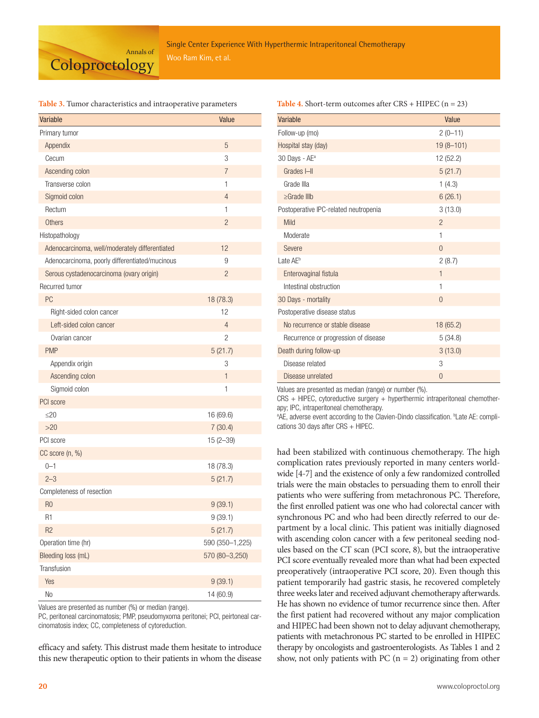

#### **Table 3.** Tumor characteristics and intraoperative parameters

| Variable                                       | Value           |  |  |  |
|------------------------------------------------|-----------------|--|--|--|
| Primary tumor                                  |                 |  |  |  |
| Appendix                                       | 5               |  |  |  |
| Cecum                                          | 3               |  |  |  |
| Ascending colon                                | $\overline{7}$  |  |  |  |
| Transverse colon                               | 1               |  |  |  |
| Sigmoid colon                                  | 4               |  |  |  |
| Rectum                                         | 1               |  |  |  |
| <b>Others</b>                                  | 2               |  |  |  |
| Histopathology                                 |                 |  |  |  |
| Adenocarcinoma, well/moderately differentiated | 12              |  |  |  |
| Adenocarcinoma, poorly differentiated/mucinous | 9               |  |  |  |
| Serous cystadenocarcinoma (ovary origin)       | $\overline{c}$  |  |  |  |
| Recurred tumor                                 |                 |  |  |  |
| PC                                             | 18 (78.3)       |  |  |  |
| Right-sided colon cancer                       | 12              |  |  |  |
| Left-sided colon cancer                        | 4               |  |  |  |
| Ovarian cancer                                 | 2               |  |  |  |
| <b>PMP</b>                                     | 5(21.7)         |  |  |  |
| Appendix origin                                | 3               |  |  |  |
| Ascending colon                                | $\mathbf{1}$    |  |  |  |
| Sigmoid colon                                  | 1               |  |  |  |
| PCI score                                      |                 |  |  |  |
| $\leq$ 20                                      | 16 (69.6)       |  |  |  |
| >20                                            | 7(30.4)         |  |  |  |
| PCI score                                      | $15(2 - 39)$    |  |  |  |
| CC score (n, %)                                |                 |  |  |  |
| $0 - 1$                                        | 18 (78.3)       |  |  |  |
| $2 - 3$                                        | 5(21.7)         |  |  |  |
| Completeness of resection                      |                 |  |  |  |
| R <sub>0</sub>                                 | 9(39.1)         |  |  |  |
| R1                                             | 9(39.1)         |  |  |  |
| R <sub>2</sub>                                 | 5(21.7)         |  |  |  |
| Operation time (hr)                            | 590 (350-1,225) |  |  |  |
| Bleeding loss (mL)                             | 570 (80-3,250)  |  |  |  |
| Transfusion                                    |                 |  |  |  |
| Yes                                            | 9(39.1)         |  |  |  |
| No                                             | 14 (60.9)       |  |  |  |

Values are presented as number (%) or median (range).

PC, peritoneal carcinomatosis; PMP, pseudomyxoma peritonei; PCI, peirtoneal carcinomatosis index; CC, completeness of cytoreduction.

efficacy and safety. This distrust made them hesitate to introduce this new therapeutic option to their patients in whom the disease

| <b>Table 4.</b> Short-term outcomes after $CRS + HIPEC$ ( $n = 23$ ) |  |
|----------------------------------------------------------------------|--|
|----------------------------------------------------------------------|--|

| Variable                              | Value          |
|---------------------------------------|----------------|
| Follow-up (mo)                        | $2(0-11)$      |
| Hospital stay (day)                   | $19(8 - 101)$  |
| 30 Days - AE <sup>a</sup>             | 12 (52.2)      |
| Grades I-II                           | 5(21.7)        |
| Grade IIIa                            | 1(4.3)         |
| $\geq$ Grade IIIb                     | 6(26.1)        |
| Postoperative IPC-related neutropenia | 3(13.0)        |
| Mild                                  | $\overline{2}$ |
| Moderate                              | 1              |
| Severe                                | $\Omega$       |
| Late AE <sup>b</sup>                  | 2(8.7)         |
| Enterovaginal fistula                 | $\mathbf{1}$   |
| Intestinal obstruction                | 1              |
| 30 Days - mortality                   | $\theta$       |
| Postoperative disease status          |                |
| No recurrence or stable disease       | 18(65.2)       |
| Recurrence or progression of disease  | 5(34.8)        |
| Death during follow-up                | 3(13.0)        |
| Disease related                       | 3              |
| Disease unrelated                     | $\Omega$       |

Values are presented as median (range) or number (%).

CRS + HIPEC, cytoreductive surgery + hyperthermic intraperitoneal chemotherapy; IPC, intraperitoneal chemotherapy.

<sup>a</sup>AE, adverse event according to the Clavien-Dindo classification. <sup>b</sup>Late AE: complications 30 days after CRS + HIPEC.

had been stabilized with continuous chemotherapy. The high complication rates previously reported in many centers worldwide [4-7] and the existence of only a few randomized controlled trials were the main obstacles to persuading them to enroll their patients who were suffering from metachronous PC. Therefore, the first enrolled patient was one who had colorectal cancer with synchronous PC and who had been directly referred to our department by a local clinic. This patient was initially diagnosed with ascending colon cancer with a few peritoneal seeding nodules based on the CT scan (PCI score, 8), but the intraoperative PCI score eventually revealed more than what had been expected preoperatively (intraoperative PCI score, 20). Even though this patient temporarily had gastric stasis, he recovered completely three weeks later and received adjuvant chemotherapy afterwards. He has shown no evidence of tumor recurrence since then. After the first patient had recovered without any major complication and HIPEC had been shown not to delay adjuvant chemotherapy, patients with metachronous PC started to be enrolled in HIPEC therapy by oncologists and gastroenterologists. As Tables 1 and 2 show, not only patients with PC  $(n = 2)$  originating from other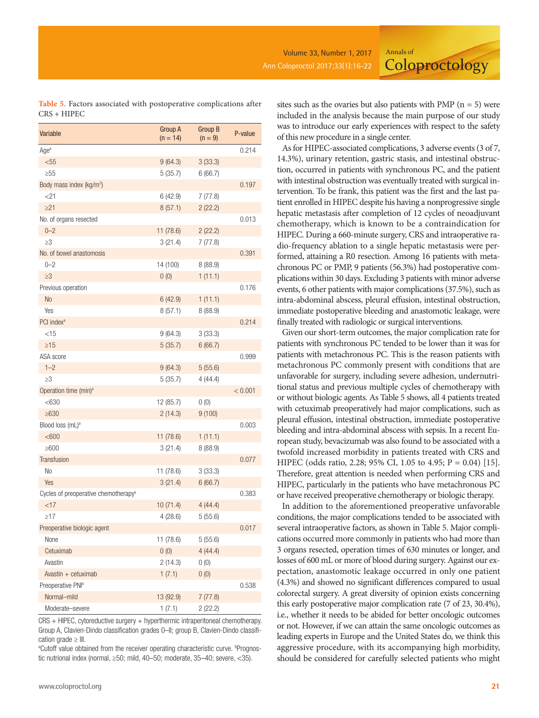**Coloproctology** 

| Table 5. Factors associated with postoperative complications after |  |  |  |
|--------------------------------------------------------------------|--|--|--|
| CRS + HIPEC                                                        |  |  |  |

| Variable                                         | Group A<br>$(n = 14)$ | Group B<br>$(n = 9)$ | P-value |
|--------------------------------------------------|-----------------------|----------------------|---------|
| Age <sup>a</sup>                                 |                       |                      | 0.214   |
| $55$                                             | 9(64.3)               | 3(33.3)              |         |
| >55                                              | 5(35.7)               | 6(66.7)              |         |
| Body mass index (kg/m <sup>2</sup> )             |                       |                      | 0.197   |
| $<$ 21                                           | 6(42.9)               | 7(77.8)              |         |
| $\geq$ 21                                        | 8(57.1)               | 2(22.2)              |         |
| No. of organs resected                           |                       |                      | 0.013   |
| $0 - 2$                                          | 11 (78.6)             | 2(22.2)              |         |
| $\geq$ 3                                         | 3(21.4)               | 7(77.8)              |         |
| No. of bowel anastomosis                         |                       |                      | 0.391   |
| $0 - 2$                                          | 14 (100)              | 8(88.9)              |         |
| $\geq$ 3                                         | 0(0)                  | 1(11.1)              |         |
| Previous operation                               |                       |                      | 0.176   |
| N <sub>o</sub>                                   | 6(42.9)               | 1(11.1)              |         |
| Yes                                              | 8(57.1)               | 8(88.9)              |         |
| PCI index <sup>a</sup>                           |                       |                      | 0.214   |
| $<$ 15                                           | 9(64.3)               | 3(33.3)              |         |
| $\geq$ 15                                        | 5(35.7)               | 6(66.7)              |         |
| ASA score                                        |                       |                      | 0.999   |
| $1 - 2$                                          | 9(64.3)               | 5(55.6)              |         |
| $\geq$ 3                                         | 5(35.7)               | 4(44.4)              |         |
| Operation time (min) <sup>a</sup>                |                       |                      | < 0.001 |
| < 630                                            | 12 (85.7)             | 0(0)                 |         |
| $\geq 630$                                       | 2(14.3)               | 9(100)               |         |
| Blood loss (mL) <sup>a</sup>                     |                       |                      | 0.003   |
| <600                                             | 11 (78.6)             | 1(11.1)              |         |
| $\geq 600$                                       | 3(21.4)               | 8 (88.9)             |         |
| <b>Transfusion</b>                               |                       |                      | 0.077   |
| No                                               | 11 (78.6)             | 3(33.3)              |         |
| Yes                                              | 3(21.4)               | 6(66.7)              |         |
| Cycles of preoperative chemotherapy <sup>a</sup> |                       |                      | 0.383   |
| <17                                              | 10(71.4)              | 4(44.4)              |         |
| $\geq$ 17                                        | 4(28.6)               | 5(55.6)              |         |
| Preoperative biologic agent                      |                       |                      | 0.017   |
| None                                             | 11 (78.6)             | 5(55.6)              |         |
| Cetuximab                                        | 0(0)                  | 4(44.4)              |         |
| Avastin                                          | 2(14.3)               | 0(0)                 |         |
| Avastin $+$ cetuximab                            | 1(7.1)                | 0(0)                 |         |
| Preoperative PNI <sup>b</sup>                    |                       |                      | 0.538   |
| Normal-mild                                      | 13 (92.9)             | 7(77.8)              |         |
| Moderate-severe                                  | 1(7.1)                | 2(22.2)              |         |

CRS + HIPEC, cytoreductive surgery + hyperthermic intraperitoneal chemotherapy. Group A, Clavien-Dindo classification grades 0–II; group B, Clavien-Dindo classification grade > III.

<sup>a</sup>Cutoff value obtained from the receiver operating characteristic curve. <sup>b</sup>Prognostic nutrional index (normal, ≥50; mild, 40–50; moderate, 35–40; severe, <35).

sites such as the ovaries but also patients with PMP ( $n = 5$ ) were included in the analysis because the main purpose of our study was to introduce our early experiences with respect to the safety of this new procedure in a single center.

Annals of

As for HIPEC-associated complications, 3 adverse events (3 of 7, 14.3%), urinary retention, gastric stasis, and intestinal obstruction, occurred in patients with synchronous PC, and the patient with intestinal obstruction was eventually treated with surgical intervention. To be frank, this patient was the first and the last patient enrolled in HIPEC despite his having a nonprogressive single hepatic metastasis after completion of 12 cycles of neoadjuvant chemotherapy, which is known to be a contraindication for HIPEC. During a 660-minute surgery, CRS and intraoperative radio-frequency ablation to a single hepatic metastasis were performed, attaining a R0 resection. Among 16 patients with metachronous PC or PMP, 9 patients (56.3%) had postoperative complications within 30 days. Excluding 3 patients with minor adverse events, 6 other patients with major complications (37.5%), such as intra-abdominal abscess, pleural effusion, intestinal obstruction, immediate postoperative bleeding and anastomotic leakage, were finally treated with radiologic or surgical interventions.

Given our short-term outcomes, the major complication rate for patients with synchronous PC tended to be lower than it was for patients with metachronous PC. This is the reason patients with metachronous PC commonly present with conditions that are unfavorable for surgery, including severe adhesion, undernutritional status and previous multiple cycles of chemotherapy with or without biologic agents. As Table 5 shows, all 4 patients treated with cetuximab preoperatively had major complications, such as pleural effusion, intestinal obstruction, immediate postoperative bleeding and intra-abdominal abscess with sepsis. In a recent European study, bevacizumab was also found to be associated with a twofold increased morbidity in patients treated with CRS and HIPEC (odds ratio, 2.28; 95% CI, 1.05 to 4.95; P = 0.04) [15]. Therefore, great attention is needed when performing CRS and HIPEC, particularly in the patients who have metachronous PC or have received preoperative chemotherapy or biologic therapy.

In addition to the aforementioned preoperative unfavorable conditions, the major complications tended to be associated with several intraoperative factors, as shown in Table 5. Major complications occurred more commonly in patients who had more than 3 organs resected, operation times of 630 minutes or longer, and losses of 600 mL or more of blood during surgery. Against our expectation, anastomotic leakage occurred in only one patient (4.3%) and showed no significant differences compared to usual colorectal surgery. A great diversity of opinion exists concerning this early postoperative major complication rate (7 of 23, 30.4%), i.e., whether it needs to be abided for better oncologic outcomes or not. However, if we can attain the same oncologic outcomes as leading experts in Europe and the United States do, we think this aggressive procedure, with its accompanying high morbidity, should be considered for carefully selected patients who might